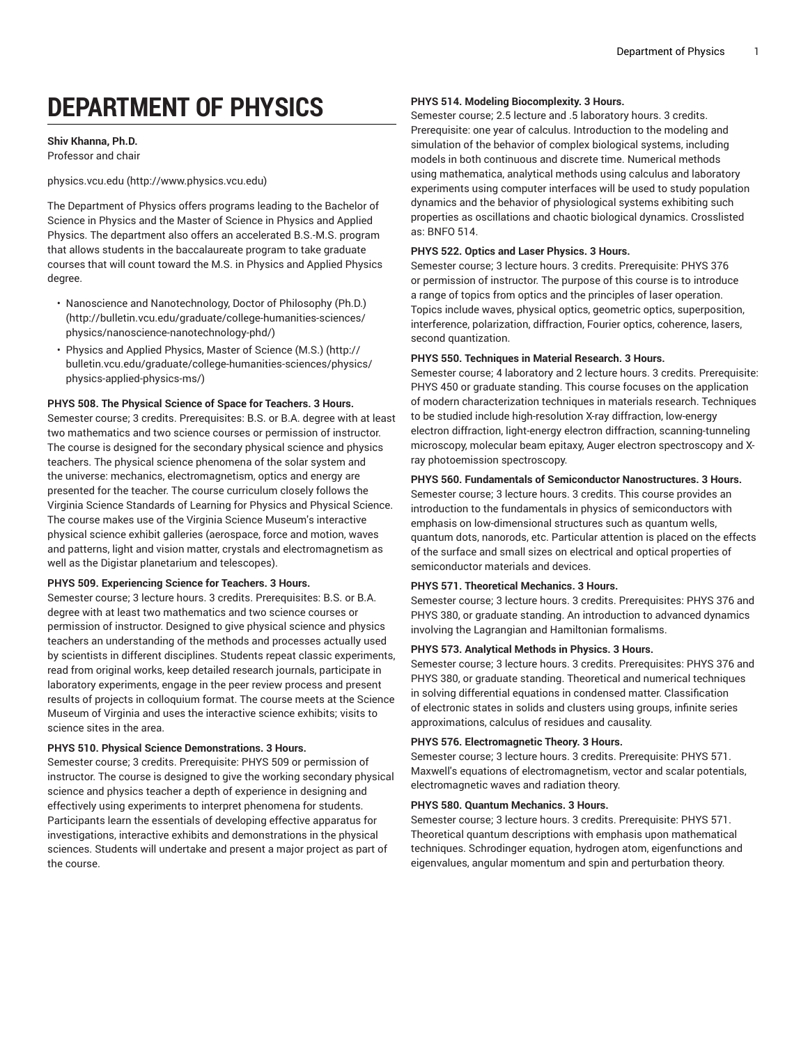# **DEPARTMENT OF PHYSICS**

# **Shiv Khanna, Ph.D.**

Professor and chair

[physics.vcu.edu](http://www.physics.vcu.edu) ([http://www.physics.vcu.edu\)](http://www.physics.vcu.edu)

The Department of Physics offers programs leading to the Bachelor of Science in Physics and the Master of Science in Physics and Applied Physics. The department also offers an accelerated B.S.-M.S. program that allows students in the baccalaureate program to take graduate courses that will count toward the M.S. in Physics and Applied Physics degree.

- Nanoscience and [Nanotechnology,](http://bulletin.vcu.edu/graduate/college-humanities-sciences/physics/nanoscience-nanotechnology-phd/) Doctor of Philosophy (Ph.D.) ([http://bulletin.vcu.edu/graduate/college-humanities-sciences/](http://bulletin.vcu.edu/graduate/college-humanities-sciences/physics/nanoscience-nanotechnology-phd/) [physics/nanoscience-nanotechnology-phd/](http://bulletin.vcu.edu/graduate/college-humanities-sciences/physics/nanoscience-nanotechnology-phd/))
- [Physics and Applied Physics, Master of Science \(M.S.\)](http://bulletin.vcu.edu/graduate/college-humanities-sciences/physics/physics-applied-physics-ms/) ([http://](http://bulletin.vcu.edu/graduate/college-humanities-sciences/physics/physics-applied-physics-ms/) [bulletin.vcu.edu/graduate/college-humanities-sciences/physics/](http://bulletin.vcu.edu/graduate/college-humanities-sciences/physics/physics-applied-physics-ms/) [physics-applied-physics-ms/\)](http://bulletin.vcu.edu/graduate/college-humanities-sciences/physics/physics-applied-physics-ms/)

## **PHYS 508. The Physical Science of Space for Teachers. 3 Hours.**

Semester course; 3 credits. Prerequisites: B.S. or B.A. degree with at least two mathematics and two science courses or permission of instructor. The course is designed for the secondary physical science and physics teachers. The physical science phenomena of the solar system and the universe: mechanics, electromagnetism, optics and energy are presented for the teacher. The course curriculum closely follows the Virginia Science Standards of Learning for Physics and Physical Science. The course makes use of the Virginia Science Museum's interactive physical science exhibit galleries (aerospace, force and motion, waves and patterns, light and vision matter, crystals and electromagnetism as well as the Digistar planetarium and telescopes).

## **PHYS 509. Experiencing Science for Teachers. 3 Hours.**

Semester course; 3 lecture hours. 3 credits. Prerequisites: B.S. or B.A. degree with at least two mathematics and two science courses or permission of instructor. Designed to give physical science and physics teachers an understanding of the methods and processes actually used by scientists in different disciplines. Students repeat classic experiments, read from original works, keep detailed research journals, participate in laboratory experiments, engage in the peer review process and present results of projects in colloquium format. The course meets at the Science Museum of Virginia and uses the interactive science exhibits; visits to science sites in the area.

# **PHYS 510. Physical Science Demonstrations. 3 Hours.**

Semester course; 3 credits. Prerequisite: PHYS 509 or permission of instructor. The course is designed to give the working secondary physical science and physics teacher a depth of experience in designing and effectively using experiments to interpret phenomena for students. Participants learn the essentials of developing effective apparatus for investigations, interactive exhibits and demonstrations in the physical sciences. Students will undertake and present a major project as part of the course.

# **PHYS 514. Modeling Biocomplexity. 3 Hours.**

Semester course; 2.5 lecture and .5 laboratory hours. 3 credits. Prerequisite: one year of calculus. Introduction to the modeling and simulation of the behavior of complex biological systems, including models in both continuous and discrete time. Numerical methods using mathematica, analytical methods using calculus and laboratory experiments using computer interfaces will be used to study population dynamics and the behavior of physiological systems exhibiting such properties as oscillations and chaotic biological dynamics. Crosslisted as: BNFO 514.

# **PHYS 522. Optics and Laser Physics. 3 Hours.**

Semester course; 3 lecture hours. 3 credits. Prerequisite: PHYS 376 or permission of instructor. The purpose of this course is to introduce a range of topics from optics and the principles of laser operation. Topics include waves, physical optics, geometric optics, superposition, interference, polarization, diffraction, Fourier optics, coherence, lasers, second quantization.

## **PHYS 550. Techniques in Material Research. 3 Hours.**

Semester course; 4 laboratory and 2 lecture hours. 3 credits. Prerequisite: PHYS 450 or graduate standing. This course focuses on the application of modern characterization techniques in materials research. Techniques to be studied include high-resolution X-ray diffraction, low-energy electron diffraction, light-energy electron diffraction, scanning-tunneling microscopy, molecular beam epitaxy, Auger electron spectroscopy and Xray photoemission spectroscopy.

# **PHYS 560. Fundamentals of Semiconductor Nanostructures. 3 Hours.**

Semester course; 3 lecture hours. 3 credits. This course provides an introduction to the fundamentals in physics of semiconductors with emphasis on low-dimensional structures such as quantum wells, quantum dots, nanorods, etc. Particular attention is placed on the effects of the surface and small sizes on electrical and optical properties of semiconductor materials and devices.

## **PHYS 571. Theoretical Mechanics. 3 Hours.**

Semester course; 3 lecture hours. 3 credits. Prerequisites: PHYS 376 and PHYS 380, or graduate standing. An introduction to advanced dynamics involving the Lagrangian and Hamiltonian formalisms.

## **PHYS 573. Analytical Methods in Physics. 3 Hours.**

Semester course; 3 lecture hours. 3 credits. Prerequisites: PHYS 376 and PHYS 380, or graduate standing. Theoretical and numerical techniques in solving differential equations in condensed matter. Classification of electronic states in solids and clusters using groups, infinite series approximations, calculus of residues and causality.

## **PHYS 576. Electromagnetic Theory. 3 Hours.**

Semester course; 3 lecture hours. 3 credits. Prerequisite: PHYS 571. Maxwell's equations of electromagnetism, vector and scalar potentials, electromagnetic waves and radiation theory.

## **PHYS 580. Quantum Mechanics. 3 Hours.**

Semester course; 3 lecture hours. 3 credits. Prerequisite: PHYS 571. Theoretical quantum descriptions with emphasis upon mathematical techniques. Schrodinger equation, hydrogen atom, eigenfunctions and eigenvalues, angular momentum and spin and perturbation theory.